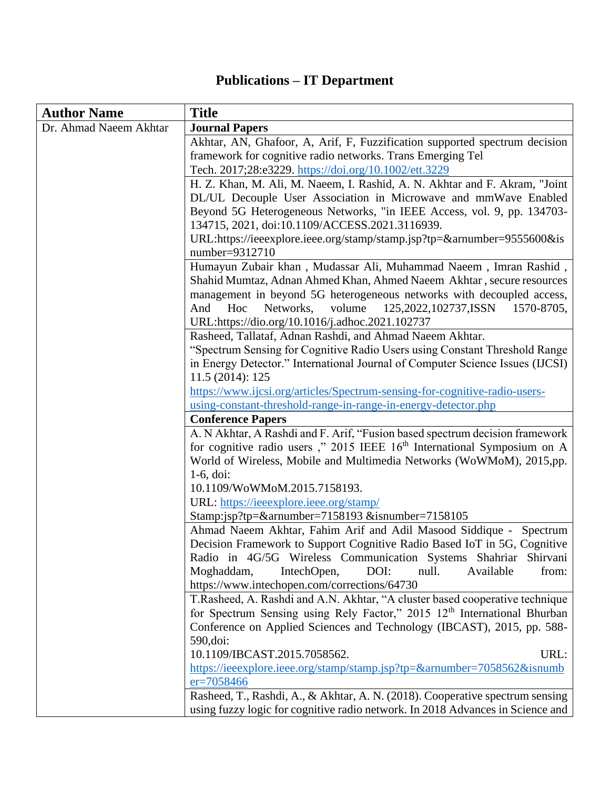## **Publications – IT Department**

| <b>Author Name</b>     | <b>Title</b>                                                                                                                                                    |
|------------------------|-----------------------------------------------------------------------------------------------------------------------------------------------------------------|
| Dr. Ahmad Naeem Akhtar | <b>Journal Papers</b>                                                                                                                                           |
|                        | Akhtar, AN, Ghafoor, A, Arif, F, Fuzzification supported spectrum decision                                                                                      |
|                        | framework for cognitive radio networks. Trans Emerging Tel                                                                                                      |
|                        | Tech. 2017;28:e3229. https://doi.org/10.1002/ett.3229                                                                                                           |
|                        | H. Z. Khan, M. Ali, M. Naeem, I. Rashid, A. N. Akhtar and F. Akram, "Joint"                                                                                     |
|                        | DL/UL Decouple User Association in Microwave and mmWave Enabled                                                                                                 |
|                        | Beyond 5G Heterogeneous Networks, "in IEEE Access, vol. 9, pp. 134703-                                                                                          |
|                        | 134715, 2021, doi:10.1109/ACCESS.2021.3116939.                                                                                                                  |
|                        | URL:https://ieeexplore.ieee.org/stamp/stamp.jsp?tp=&arnumber=9555600&is<br>number=9312710                                                                       |
|                        | Humayun Zubair khan, Mudassar Ali, Muhammad Naeem, Imran Rashid,                                                                                                |
|                        | Shahid Mumtaz, Adnan Ahmed Khan, Ahmed Naeem Akhtar, secure resources                                                                                           |
|                        | management in beyond 5G heterogeneous networks with decoupled access,                                                                                           |
|                        | volume<br>Hoc<br>Networks.<br>125,2022,102737,ISSN<br>1570-8705,<br>And                                                                                         |
|                        | URL:https://dio.org/10.1016/j.adhoc.2021.102737                                                                                                                 |
|                        | Rasheed, Tallataf, Adnan Rashdi, and Ahmad Naeem Akhtar.                                                                                                        |
|                        | "Spectrum Sensing for Cognitive Radio Users using Constant Threshold Range                                                                                      |
|                        | in Energy Detector." International Journal of Computer Science Issues (IJCSI)                                                                                   |
|                        | 11.5 (2014): 125                                                                                                                                                |
|                        | https://www.ijcsi.org/articles/Spectrum-sensing-for-cognitive-radio-users-                                                                                      |
|                        | using-constant-threshold-range-in-range-in-energy-detector.php                                                                                                  |
|                        | <b>Conference Papers</b>                                                                                                                                        |
|                        | A. N Akhtar, A Rashdi and F. Arif, "Fusion based spectrum decision framework                                                                                    |
|                        | for cognitive radio users," 2015 IEEE 16th International Symposium on A                                                                                         |
|                        | World of Wireless, Mobile and Multimedia Networks (WoWMoM), 2015,pp.                                                                                            |
|                        | $1-6$ , doi:                                                                                                                                                    |
|                        | 10.1109/WoWMoM.2015.7158193.                                                                                                                                    |
|                        | URL: https://ieeexplore.ieee.org/stamp/                                                                                                                         |
|                        | Stamp:jsp?tp=&arnumber=7158193 &isnumber=7158105                                                                                                                |
|                        | Ahmad Naeem Akhtar, Fahim Arif and Adil Masood Siddique - Spectrum                                                                                              |
|                        | Decision Framework to Support Cognitive Radio Based IoT in 5G, Cognitive                                                                                        |
|                        | Radio in 4G/5G Wireless Communication Systems Shahriar Shirvani                                                                                                 |
|                        | Moghaddam,<br>IntechOpen,<br>DOI:<br>null.<br>Available<br>from:                                                                                                |
|                        | https://www.intechopen.com/corrections/64730                                                                                                                    |
|                        | T. Rasheed, A. Rashdi and A.N. Akhtar, "A cluster based cooperative technique                                                                                   |
|                        | for Spectrum Sensing using Rely Factor," 2015 12 <sup>th</sup> International Bhurban                                                                            |
|                        | Conference on Applied Sciences and Technology (IBCAST), 2015, pp. 588-                                                                                          |
|                        | 590, doi:                                                                                                                                                       |
|                        | 10.1109/IBCAST.2015.7058562.<br>URL:                                                                                                                            |
|                        | https://ieeexplore.ieee.org/stamp/stamp.jsp?tp=&arnumber=7058562&isnumb                                                                                         |
|                        | $er = 7058466$                                                                                                                                                  |
|                        | Rasheed, T., Rashdi, A., & Akhtar, A. N. (2018). Cooperative spectrum sensing<br>using fuzzy logic for cognitive radio network. In 2018 Advances in Science and |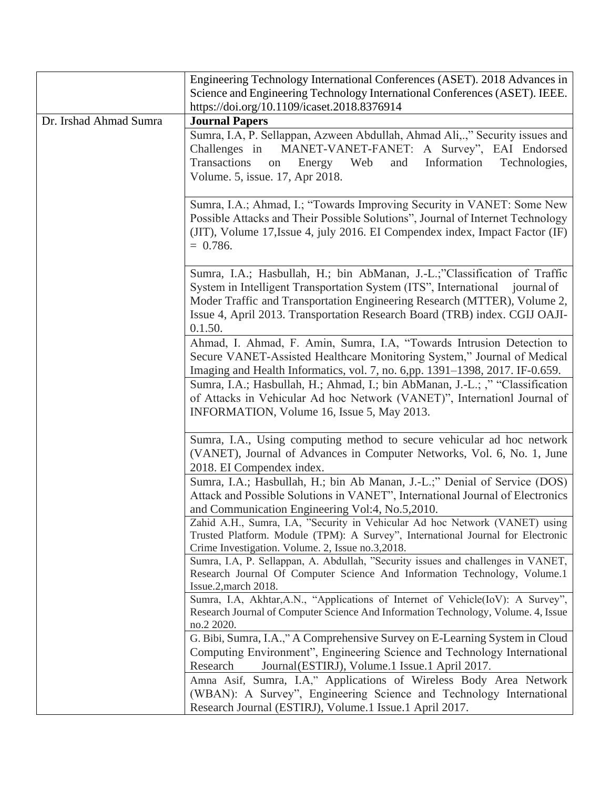|                        | Engineering Technology International Conferences (ASET). 2018 Advances in<br>Science and Engineering Technology International Conferences (ASET). IEEE.                                                                                                                                                                          |
|------------------------|----------------------------------------------------------------------------------------------------------------------------------------------------------------------------------------------------------------------------------------------------------------------------------------------------------------------------------|
|                        | https://doi.org/10.1109/icaset.2018.8376914                                                                                                                                                                                                                                                                                      |
| Dr. Irshad Ahmad Sumra | <b>Journal Papers</b>                                                                                                                                                                                                                                                                                                            |
|                        | Sumra, I.A, P. Sellappan, Azween Abdullah, Ahmad Ali,.," Security issues and<br>MANET-VANET-FANET: A Survey", EAI Endorsed<br>Challenges in<br>Transactions<br>Information<br>Energy Web<br>and<br>Technologies,<br>on<br>Volume. 5, issue. 17, Apr 2018.                                                                        |
|                        | Sumra, I.A.; Ahmad, I.; "Towards Improving Security in VANET: Some New<br>Possible Attacks and Their Possible Solutions", Journal of Internet Technology<br>(JIT), Volume 17, Issue 4, july 2016. EI Compendex index, Impact Factor (IF)<br>$= 0.786.$                                                                           |
|                        | Sumra, I.A.; Hasbullah, H.; bin AbManan, J.-L.;"Classification of Traffic<br>System in Intelligent Transportation System (ITS", International<br>journal of<br>Moder Traffic and Transportation Engineering Research (MTTER), Volume 2,<br>Issue 4, April 2013. Transportation Research Board (TRB) index. CGIJ OAJI-<br>0.1.50. |
|                        | Ahmad, I. Ahmad, F. Amin, Sumra, I.A, "Towards Intrusion Detection to<br>Secure VANET-Assisted Healthcare Monitoring System," Journal of Medical<br>Imaging and Health Informatics, vol. 7, no. 6,pp. 1391–1398, 2017. IF-0.659.                                                                                                 |
|                        | Sumra, I.A.; Hasbullah, H.; Ahmad, I.; bin AbManan, J.-L.; ," "Classification<br>of Attacks in Vehicular Ad hoc Network (VANET)", Internationa Journal of<br>INFORMATION, Volume 16, Issue 5, May 2013.                                                                                                                          |
|                        | Sumra, I.A., Using computing method to secure vehicular ad hoc network<br>(VANET), Journal of Advances in Computer Networks, Vol. 6, No. 1, June<br>2018. EI Compendex index.                                                                                                                                                    |
|                        | Sumra, I.A.; Hasbullah, H.; bin Ab Manan, J.-L.;" Denial of Service (DOS)<br>Attack and Possible Solutions in VANET", International Journal of Electronics<br>and Communication Engineering Vol:4, No.5,2010.                                                                                                                    |
|                        | Zahid A.H., Sumra, I.A, "Security in Vehicular Ad hoc Network (VANET) using<br>Trusted Platform. Module (TPM): A Survey", International Journal for Electronic<br>Crime Investigation. Volume. 2, Issue no.3,2018.                                                                                                               |
|                        | Sumra, I.A, P. Sellappan, A. Abdullah, "Security issues and challenges in VANET,<br>Research Journal Of Computer Science And Information Technology, Volume.1<br>Issue.2, march 2018.                                                                                                                                            |
|                        | Sumra, I.A, Akhtar, A.N., "Applications of Internet of Vehicle(IoV): A Survey",<br>Research Journal of Computer Science And Information Technology, Volume. 4, Issue<br>no.2 2020.                                                                                                                                               |
|                        | G. Bibi, Sumra, I.A.," A Comprehensive Survey on E-Learning System in Cloud<br>Computing Environment", Engineering Science and Technology International<br>Research<br>Journal (ESTIRJ), Volume.1 Issue.1 April 2017.                                                                                                            |
|                        | Amna Asif, Sumra, I.A," Applications of Wireless Body Area Network<br>(WBAN): A Survey", Engineering Science and Technology International<br>Research Journal (ESTIRJ), Volume.1 Issue.1 April 2017.                                                                                                                             |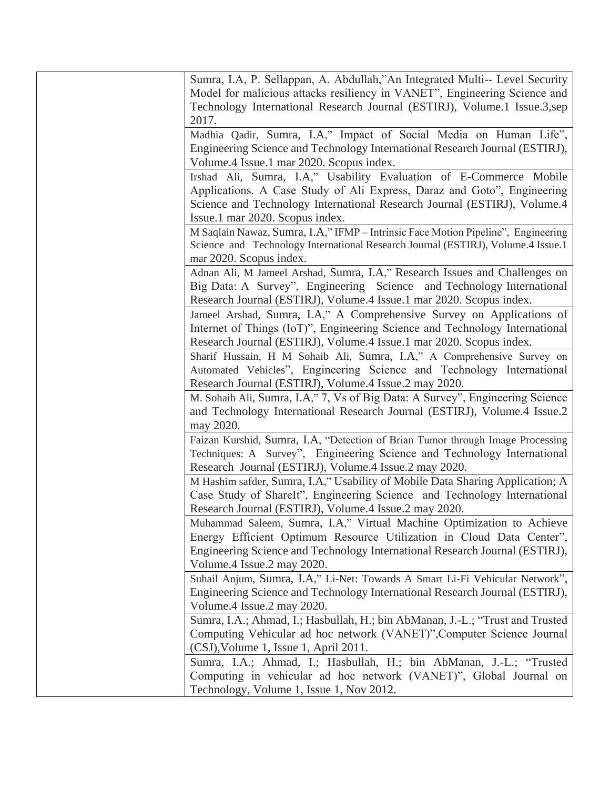| Sumra, I.A, P. Sellappan, A. Abdullah,"An Integrated Multi-- Level Security<br>Model for malicious attacks resiliency in VANET", Engineering Science and<br>Technology International Research Journal (ESTIRJ), Volume.1 Issue.3,sep<br>2017.                |
|--------------------------------------------------------------------------------------------------------------------------------------------------------------------------------------------------------------------------------------------------------------|
| Madhia Qadir, Sumra, I.A," Impact of Social Media on Human Life",<br>Engineering Science and Technology International Research Journal (ESTIRJ),<br>Volume.4 Issue.1 mar 2020. Scopus index.                                                                 |
| Irshad Ali, Sumra, I.A," Usability Evaluation of E-Commerce Mobile<br>Applications. A Case Study of Ali Express, Daraz and Goto", Engineering<br>Science and Technology International Research Journal (ESTIRJ), Volume.4<br>Issue.1 mar 2020. Scopus index. |
| M Saqlain Nawaz, Sumra, I.A," IFMP - Intrinsic Face Motion Pipeline", Engineering<br>Science and Technology International Research Journal (ESTIRJ), Volume.4 Issue.1<br>mar 2020. Scopus index.                                                             |
| Adnan Ali, M Jameel Arshad, Sumra, I.A," Research Issues and Challenges on<br>Big Data: A Survey", Engineering Science and Technology International<br>Research Journal (ESTIRJ), Volume.4 Issue.1 mar 2020. Scopus index.                                   |
| Jameel Arshad, Sumra, I.A," A Comprehensive Survey on Applications of<br>Internet of Things (IoT)", Engineering Science and Technology International<br>Research Journal (ESTIRJ), Volume.4 Issue.1 mar 2020. Scopus index.                                  |
| Sharif Hussain, H M Sohaib Ali, Sumra, I.A," A Comprehensive Survey on<br>Automated Vehicles", Engineering Science and Technology International<br>Research Journal (ESTIRJ), Volume.4 Issue.2 may 2020.                                                     |
| M. Sohaib Ali, Sumra, I.A," 7, Vs of Big Data: A Survey", Engineering Science<br>and Technology International Research Journal (ESTIRJ), Volume.4 Issue.2<br>may 2020.                                                                                       |
| Faizan Kurshid, Sumra, I.A, "Detection of Brian Tumor through Image Processing<br>Techniques: A Survey", Engineering Science and Technology International<br>Research Journal (ESTIRJ), Volume.4 Issue.2 may 2020.                                           |
| M Hashim safder, Sumra, I.A," Usability of Mobile Data Sharing Application; A<br>Case Study of ShareIt", Engineering Science and Technology International<br>Research Journal (ESTIRJ), Volume.4 Issue.2 may 2020.                                           |
| Muhammad Saleem, Sumra, I.A," Virtual Machine Optimization to Achieve<br>Energy Efficient Optimum Resource Utilization in Cloud Data Center",<br>Engineering Science and Technology International Research Journal (ESTIRJ),<br>Volume.4 Issue.2 may 2020.   |
| Suhail Anjum, Sumra, I.A," Li-Net: Towards A Smart Li-Fi Vehicular Network",<br>Engineering Science and Technology International Research Journal (ESTIRJ),<br>Volume.4 Issue.2 may 2020.                                                                    |
| Sumra, I.A.; Ahmad, I.; Hasbullah, H.; bin AbManan, J.-L.; "Trust and Trusted<br>Computing Vehicular ad hoc network (VANET)", Computer Science Journal<br>(CSJ), Volume 1, Issue 1, April 2011.                                                              |
| Sumra, I.A.; Ahmad, I.; Hasbullah, H.; bin AbManan, J.-L.; "Trusted<br>Computing in vehicular ad hoc network (VANET)", Global Journal on<br>Technology, Volume 1, Issue 1, Nov 2012.                                                                         |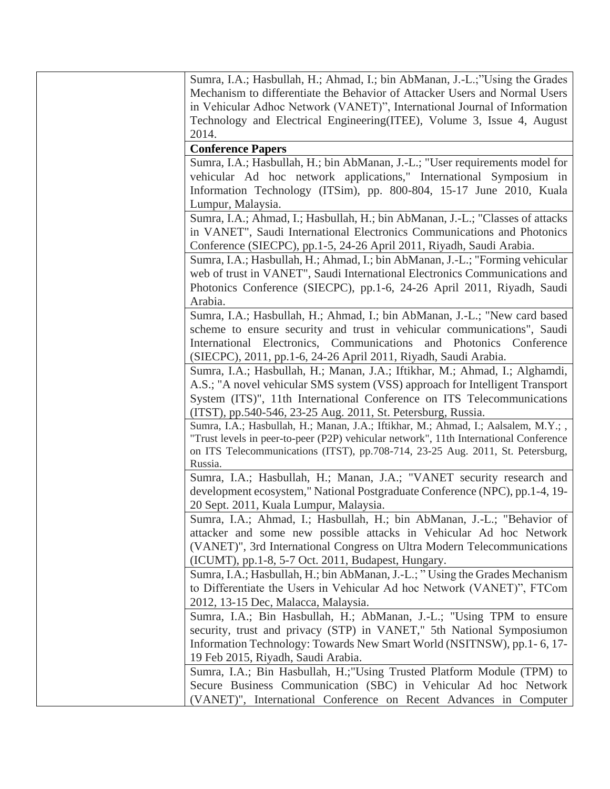Sumra, I.A.; Hasbullah, H.; Ahmad, I.; bin AbManan, J.-L.;"Using the Grades Mechanism to differentiate the Behavior of Attacker Users and Normal Users in Vehicular Adhoc Network (VANET)", International Journal of Information Technology and Electrical Engineering(ITEE), Volume 3, Issue 4, August 2014.

## **Conference Papers**

Sumra, I.A.; Hasbullah, H.; bin AbManan, J.-L.; "User requirements model for vehicular Ad hoc network applications," International Symposium in Information Technology (ITSim), pp. 800-804, 15-17 June 2010, Kuala Lumpur, Malaysia.

Sumra, I.A.; Ahmad, I.; Hasbullah, H.; bin AbManan, J.-L.; "Classes of attacks in VANET", Saudi International Electronics Communications and Photonics Conference (SIECPC), pp.1-5, 24-26 April 2011, Riyadh, Saudi Arabia.

Sumra, I.A.; Hasbullah, H.; Ahmad, I.; bin AbManan, J.-L.; "Forming vehicular web of trust in VANET", Saudi International Electronics Communications and Photonics Conference (SIECPC), pp.1-6, 24-26 April 2011, Riyadh, Saudi Arabia.

Sumra, I.A.; Hasbullah, H.; Ahmad, I.; bin AbManan, J.-L.; "New card based scheme to ensure security and trust in vehicular communications", Saudi International Electronics, Communications and Photonics Conference (SIECPC), 2011, pp.1-6, 24-26 April 2011, Riyadh, Saudi Arabia.

Sumra, I.A.; Hasbullah, H.; Manan, J.A.; Iftikhar, M.; Ahmad, I.; Alghamdi, A.S.; "A novel vehicular SMS system (VSS) approach for Intelligent Transport System (ITS)", 11th International Conference on ITS Telecommunications (ITST), pp.540-546, 23-25 Aug. 2011, St. Petersburg, Russia.

Sumra, I.A.; Hasbullah, H.; Manan, J.A.; Iftikhar, M.; Ahmad, I.; Aalsalem, M.Y.; , "Trust levels in peer-to-peer (P2P) vehicular network", 11th International Conference on ITS Telecommunications (ITST), pp.708-714, 23-25 Aug. 2011, St. Petersburg, Russia.

Sumra, I.A.; Hasbullah, H.; Manan, J.A.; "VANET security research and development ecosystem," National Postgraduate Conference (NPC), pp.1-4, 19- 20 Sept. 2011, Kuala Lumpur, Malaysia.

Sumra, I.A.; Ahmad, I.; Hasbullah, H.; bin AbManan, J.-L.; "Behavior of attacker and some new possible attacks in Vehicular Ad hoc Network (VANET)", 3rd International Congress on Ultra Modern Telecommunications (ICUMT), pp.1-8, 5-7 Oct. 2011, Budapest, Hungary.

Sumra, I.A.; Hasbullah, H.; bin AbManan, J.-L.; " Using the Grades Mechanism to Differentiate the Users in Vehicular Ad hoc Network (VANET)", FTCom 2012, 13-15 Dec, Malacca, Malaysia.

Sumra, I.A.; Bin Hasbullah, H.; AbManan, J.-L.; "Using TPM to ensure security, trust and privacy (STP) in VANET," 5th National Symposiumon Information Technology: Towards New Smart World (NSITNSW), pp.1- 6, 17- 19 Feb 2015, Riyadh, Saudi Arabia.

Sumra, I.A.; Bin Hasbullah, H.;"Using Trusted Platform Module (TPM) to Secure Business Communication (SBC) in Vehicular Ad hoc Network (VANET)", International Conference on Recent Advances in Computer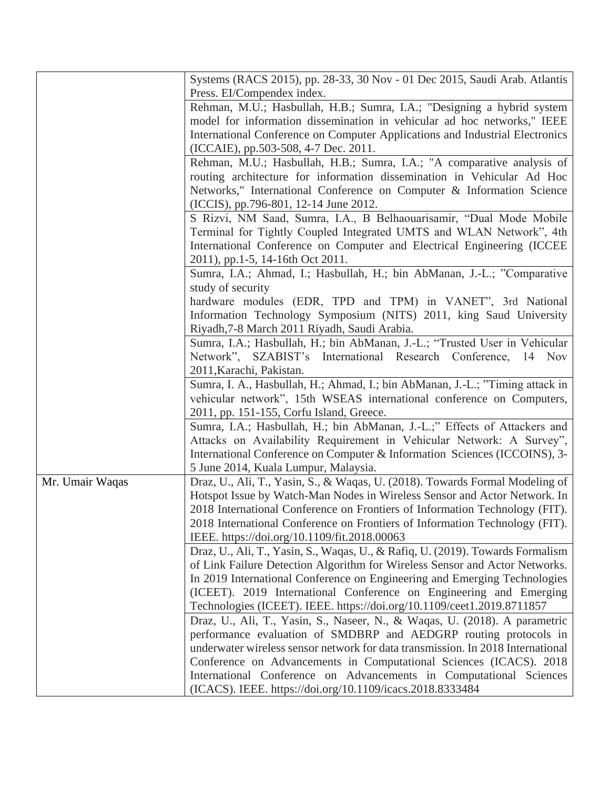|                 | Systems (RACS 2015), pp. 28-33, 30 Nov - 01 Dec 2015, Saudi Arab. Atlantis      |
|-----------------|---------------------------------------------------------------------------------|
|                 | Press. EI/Compendex index.                                                      |
|                 | Rehman, M.U.; Hasbullah, H.B.; Sumra, I.A.; "Designing a hybrid system          |
|                 | model for information dissemination in vehicular ad hoc networks," IEEE         |
|                 | International Conference on Computer Applications and Industrial Electronics    |
|                 | (ICCAIE), pp.503-508, 4-7 Dec. 2011.                                            |
|                 | Rehman, M.U.; Hasbullah, H.B.; Sumra, I.A.; "A comparative analysis of          |
|                 | routing architecture for information dissemination in Vehicular Ad Hoc          |
|                 | Networks," International Conference on Computer & Information Science           |
|                 | (ICCIS), pp.796-801, 12-14 June 2012.                                           |
|                 | S Rizvi, NM Saad, Sumra, I.A., B Belhaouarisamir, "Dual Mode Mobile             |
|                 | Terminal for Tightly Coupled Integrated UMTS and WLAN Network", 4th             |
|                 | International Conference on Computer and Electrical Engineering (ICCEE          |
|                 | 2011), pp.1-5, 14-16th Oct 2011.                                                |
|                 | Sumra, I.A.; Ahmad, I.; Hasbullah, H.; bin AbManan, J.-L.; "Comparative         |
|                 | study of security                                                               |
|                 | hardware modules (EDR, TPD and TPM) in VANET", 3rd National                     |
|                 | Information Technology Symposium (NITS) 2011, king Saud University              |
|                 | Riyadh, 7-8 March 2011 Riyadh, Saudi Arabia.                                    |
|                 | Sumra, I.A.; Hasbullah, H.; bin AbManan, J.-L.; "Trusted User in Vehicular      |
|                 | Network", SZABIST's International Research Conference, 14 Nov                   |
|                 | 2011, Karachi, Pakistan.                                                        |
|                 | Sumra, I. A., Hasbullah, H.; Ahmad, I.; bin AbManan, J.-L.; "Timing attack in   |
|                 | vehicular network", 15th WSEAS international conference on Computers,           |
|                 | 2011, pp. 151-155, Corfu Island, Greece.                                        |
|                 | Sumra, I.A.; Hasbullah, H.; bin AbManan, J.-L.;" Effects of Attackers and       |
|                 | Attacks on Availability Requirement in Vehicular Network: A Survey",            |
|                 | International Conference on Computer & Information Sciences (ICCOINS), 3-       |
|                 | 5 June 2014, Kuala Lumpur, Malaysia.                                            |
| Mr. Umair Waqas | Draz, U., Ali, T., Yasin, S., & Waqas, U. (2018). Towards Formal Modeling of    |
|                 | Hotspot Issue by Watch-Man Nodes in Wireless Sensor and Actor Network. In       |
|                 | 2018 International Conference on Frontiers of Information Technology (FIT).     |
|                 | 2018 International Conference on Frontiers of Information Technology (FIT).     |
|                 | IEEE. https://doi.org/10.1109/fit.2018.00063                                    |
|                 | Draz, U., Ali, T., Yasin, S., Waqas, U., & Rafiq, U. (2019). Towards Formalism  |
|                 | of Link Failure Detection Algorithm for Wireless Sensor and Actor Networks.     |
|                 | In 2019 International Conference on Engineering and Emerging Technologies       |
|                 | (ICEET). 2019 International Conference on Engineering and Emerging              |
|                 | Technologies (ICEET). IEEE. https://doi.org/10.1109/ceet1.2019.8711857          |
|                 | Draz, U., Ali, T., Yasin, S., Naseer, N., & Waqas, U. (2018). A parametric      |
|                 | performance evaluation of SMDBRP and AEDGRP routing protocols in                |
|                 | underwater wireless sensor network for data transmission. In 2018 International |
|                 | Conference on Advancements in Computational Sciences (ICACS). 2018              |
|                 | International Conference on Advancements in Computational Sciences              |
|                 | (ICACS). IEEE. https://doi.org/10.1109/icacs.2018.8333484                       |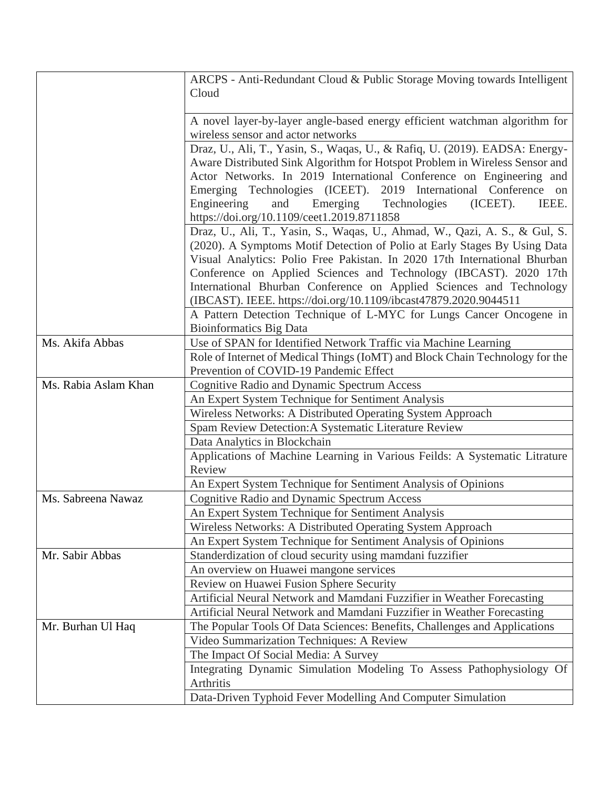|                      | ARCPS - Anti-Redundant Cloud & Public Storage Moving towards Intelligent<br>Cloud                                 |
|----------------------|-------------------------------------------------------------------------------------------------------------------|
|                      |                                                                                                                   |
|                      | A novel layer-by-layer angle-based energy efficient watchman algorithm for                                        |
|                      | wireless sensor and actor networks                                                                                |
|                      | Draz, U., Ali, T., Yasin, S., Waqas, U., & Rafiq, U. (2019). EADSA: Energy-                                       |
|                      | Aware Distributed Sink Algorithm for Hotspot Problem in Wireless Sensor and                                       |
|                      | Actor Networks. In 2019 International Conference on Engineering and                                               |
|                      | Emerging Technologies (ICEET). 2019 International Conference on                                                   |
|                      | Engineering<br>(ICEET).<br>IEEE.<br>and<br>Emerging<br>Technologies<br>https://doi.org/10.1109/ceet1.2019.8711858 |
|                      | Draz, U., Ali, T., Yasin, S., Waqas, U., Ahmad, W., Qazi, A. S., & Gul, S.                                        |
|                      | (2020). A Symptoms Motif Detection of Polio at Early Stages By Using Data                                         |
|                      | Visual Analytics: Polio Free Pakistan. In 2020 17th International Bhurban                                         |
|                      | Conference on Applied Sciences and Technology (IBCAST). 2020 17th                                                 |
|                      | International Bhurban Conference on Applied Sciences and Technology                                               |
|                      | (IBCAST). IEEE. https://doi.org/10.1109/ibcast47879.2020.9044511                                                  |
|                      | A Pattern Detection Technique of L-MYC for Lungs Cancer Oncogene in                                               |
|                      | <b>Bioinformatics Big Data</b>                                                                                    |
| Ms. Akifa Abbas      | Use of SPAN for Identified Network Traffic via Machine Learning                                                   |
|                      | Role of Internet of Medical Things (IoMT) and Block Chain Technology for the                                      |
|                      | Prevention of COVID-19 Pandemic Effect                                                                            |
| Ms. Rabia Aslam Khan | <b>Cognitive Radio and Dynamic Spectrum Access</b>                                                                |
|                      | An Expert System Technique for Sentiment Analysis                                                                 |
|                      | Wireless Networks: A Distributed Operating System Approach                                                        |
|                      | Spam Review Detection: A Systematic Literature Review                                                             |
|                      | Data Analytics in Blockchain                                                                                      |
|                      | Applications of Machine Learning in Various Feilds: A Systematic Litrature<br>Review                              |
|                      | An Expert System Technique for Sentiment Analysis of Opinions                                                     |
| Ms. Sabreena Nawaz   | <b>Cognitive Radio and Dynamic Spectrum Access</b>                                                                |
|                      | An Expert System Technique for Sentiment Analysis                                                                 |
|                      | Wireless Networks: A Distributed Operating System Approach                                                        |
|                      | An Expert System Technique for Sentiment Analysis of Opinions                                                     |
| Mr. Sabir Abbas      | Standerdization of cloud security using mamdani fuzzifier                                                         |
|                      | An overview on Huawei mangone services                                                                            |
|                      | Review on Huawei Fusion Sphere Security                                                                           |
|                      | Artificial Neural Network and Mamdani Fuzzifier in Weather Forecasting                                            |
|                      | Artificial Neural Network and Mamdani Fuzzifier in Weather Forecasting                                            |
| Mr. Burhan Ul Haq    | The Popular Tools Of Data Sciences: Benefits, Challenges and Applications                                         |
|                      | Video Summarization Techniques: A Review                                                                          |
|                      | The Impact Of Social Media: A Survey                                                                              |
|                      | Integrating Dynamic Simulation Modeling To Assess Pathophysiology Of<br>Arthritis                                 |
|                      | Data-Driven Typhoid Fever Modelling And Computer Simulation                                                       |